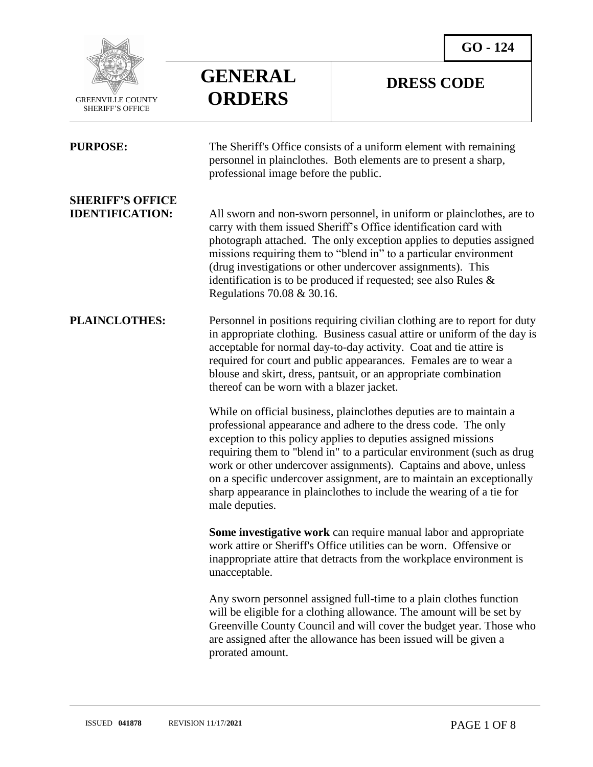

 $\overline{a}$ 

### **GENERAL ORDERS**

### **DRESS CODE**

| <b>PURPOSE:</b>                                   | The Sheriff's Office consists of a uniform element with remaining<br>personnel in plainclothes. Both elements are to present a sharp,<br>professional image before the public.                                                                                                                                                                                                                                                                                                                                            |
|---------------------------------------------------|---------------------------------------------------------------------------------------------------------------------------------------------------------------------------------------------------------------------------------------------------------------------------------------------------------------------------------------------------------------------------------------------------------------------------------------------------------------------------------------------------------------------------|
| <b>SHERIFF'S OFFICE</b><br><b>IDENTIFICATION:</b> | All sworn and non-sworn personnel, in uniform or plainclothes, are to<br>carry with them issued Sheriff's Office identification card with<br>photograph attached. The only exception applies to deputies assigned<br>missions requiring them to "blend in" to a particular environment<br>(drug investigations or other undercover assignments). This<br>identification is to be produced if requested; see also Rules $\&$<br>Regulations 70.08 & 30.16.                                                                 |
| <b>PLAINCLOTHES:</b>                              | Personnel in positions requiring civilian clothing are to report for duty<br>in appropriate clothing. Business casual attire or uniform of the day is<br>acceptable for normal day-to-day activity. Coat and tie attire is<br>required for court and public appearances. Females are to wear a<br>blouse and skirt, dress, pantsuit, or an appropriate combination<br>thereof can be worn with a blazer jacket.                                                                                                           |
|                                                   | While on official business, plainclothes deputies are to maintain a<br>professional appearance and adhere to the dress code. The only<br>exception to this policy applies to deputies assigned missions<br>requiring them to "blend in" to a particular environment (such as drug<br>work or other undercover assignments). Captains and above, unless<br>on a specific undercover assignment, are to maintain an exceptionally<br>sharp appearance in plainclothes to include the wearing of a tie for<br>male deputies. |
|                                                   | Some investigative work can require manual labor and appropriate<br>work attire or Sheriff's Office utilities can be worn. Offensive or<br>inappropriate attire that detracts from the workplace environment is<br>unacceptable.                                                                                                                                                                                                                                                                                          |
|                                                   | Any sworn personnel assigned full-time to a plain clothes function<br>will be eligible for a clothing allowance. The amount will be set by<br>Greenville County Council and will cover the budget year. Those who<br>are assigned after the allowance has been issued will be given a<br>prorated amount.                                                                                                                                                                                                                 |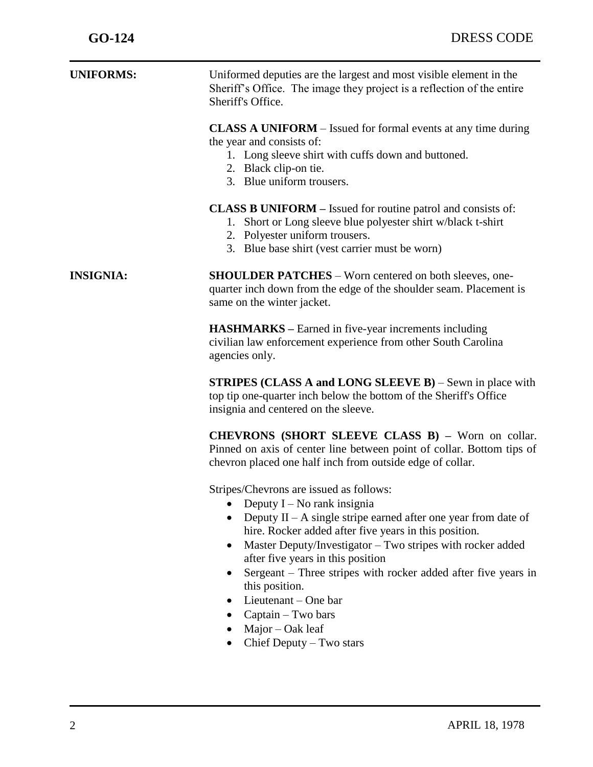| <b>UNIFORMS:</b> | Uniformed deputies are the largest and most visible element in the<br>Sheriff's Office. The image they project is a reflection of the entire<br>Sheriff's Office.                                                                                                                                                                                                                                                                                                                                                                                             |
|------------------|---------------------------------------------------------------------------------------------------------------------------------------------------------------------------------------------------------------------------------------------------------------------------------------------------------------------------------------------------------------------------------------------------------------------------------------------------------------------------------------------------------------------------------------------------------------|
|                  | <b>CLASS A UNIFORM</b> – Issued for formal events at any time during<br>the year and consists of:<br>1. Long sleeve shirt with cuffs down and buttoned.<br>2. Black clip-on tie.<br>3. Blue uniform trousers.                                                                                                                                                                                                                                                                                                                                                 |
|                  | <b>CLASS B UNIFORM</b> – Issued for routine patrol and consists of:<br>Short or Long sleeve blue polyester shirt w/black t-shirt<br>1.<br>2. Polyester uniform trousers.<br>3. Blue base shirt (vest carrier must be worn)                                                                                                                                                                                                                                                                                                                                    |
| <b>INSIGNIA:</b> | <b>SHOULDER PATCHES</b> – Worn centered on both sleeves, one-<br>quarter inch down from the edge of the shoulder seam. Placement is<br>same on the winter jacket.                                                                                                                                                                                                                                                                                                                                                                                             |
|                  | <b>HASHMARKS</b> – Earned in five-year increments including<br>civilian law enforcement experience from other South Carolina<br>agencies only.                                                                                                                                                                                                                                                                                                                                                                                                                |
|                  | <b>STRIPES (CLASS A and LONG SLEEVE B)</b> – Sewn in place with<br>top tip one-quarter inch below the bottom of the Sheriff's Office<br>insignia and centered on the sleeve.                                                                                                                                                                                                                                                                                                                                                                                  |
|                  | <b>CHEVRONS (SHORT SLEEVE CLASS B)</b> - Worn on collar.<br>Pinned on axis of center line between point of collar. Bottom tips of<br>chevron placed one half inch from outside edge of collar.                                                                                                                                                                                                                                                                                                                                                                |
|                  | Stripes/Chevrons are issued as follows:<br>Deputy $I - No$ rank insignia<br>$\bullet$<br>Deputy $II - A$ single stripe earned after one year from date of<br>$\bullet$<br>hire. Rocker added after five years in this position.<br>Master Deputy/Investigator – Two stripes with rocker added<br>$\bullet$<br>after five years in this position<br>Sergeant – Three stripes with rocker added after five years in<br>$\bullet$<br>this position.<br>Lieutenant – One bar<br>$\bullet$<br>Captain - Two bars<br>$Major - Oak$ leaf<br>Chief Deputy - Two stars |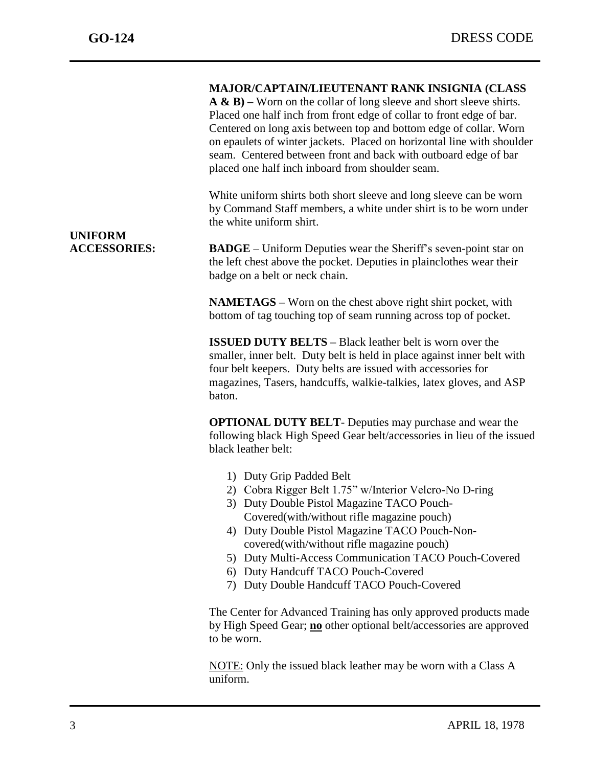#### **MAJOR/CAPTAIN/LIEUTENANT RANK INSIGNIA (CLASS**

**A & B) –** Worn on the collar of long sleeve and short sleeve shirts. Placed one half inch from front edge of collar to front edge of bar. Centered on long axis between top and bottom edge of collar. Worn on epaulets of winter jackets. Placed on horizontal line with shoulder seam. Centered between front and back with outboard edge of bar placed one half inch inboard from shoulder seam.

White uniform shirts both short sleeve and long sleeve can be worn by Command Staff members, a white under shirt is to be worn under the white uniform shirt.

**UNIFORM** 

**ACCESSORIES: BADGE** – Uniform Deputies wear the Sheriff's seven-point star on the left chest above the pocket. Deputies in plainclothes wear their badge on a belt or neck chain.

> **NAMETAGS –** Worn on the chest above right shirt pocket, with bottom of tag touching top of seam running across top of pocket.

**ISSUED DUTY BELTS –** Black leather belt is worn over the smaller, inner belt. Duty belt is held in place against inner belt with four belt keepers. Duty belts are issued with accessories for magazines, Tasers, handcuffs, walkie-talkies, latex gloves, and ASP baton.

**OPTIONAL DUTY BELT**- Deputies may purchase and wear the following black High Speed Gear belt/accessories in lieu of the issued black leather belt:

- 1) Duty Grip Padded Belt
- 2) Cobra Rigger Belt 1.75" w/Interior Velcro-No D-ring
- 3) Duty Double Pistol Magazine TACO Pouch-Covered(with/without rifle magazine pouch)
- 4) Duty Double Pistol Magazine TACO Pouch-Noncovered(with/without rifle magazine pouch)
- 5) Duty Multi-Access Communication TACO Pouch-Covered
- 6) Duty Handcuff TACO Pouch-Covered
- 7) Duty Double Handcuff TACO Pouch-Covered

The Center for Advanced Training has only approved products made by High Speed Gear; **no** other optional belt/accessories are approved to be worn.

NOTE: Only the issued black leather may be worn with a Class A uniform.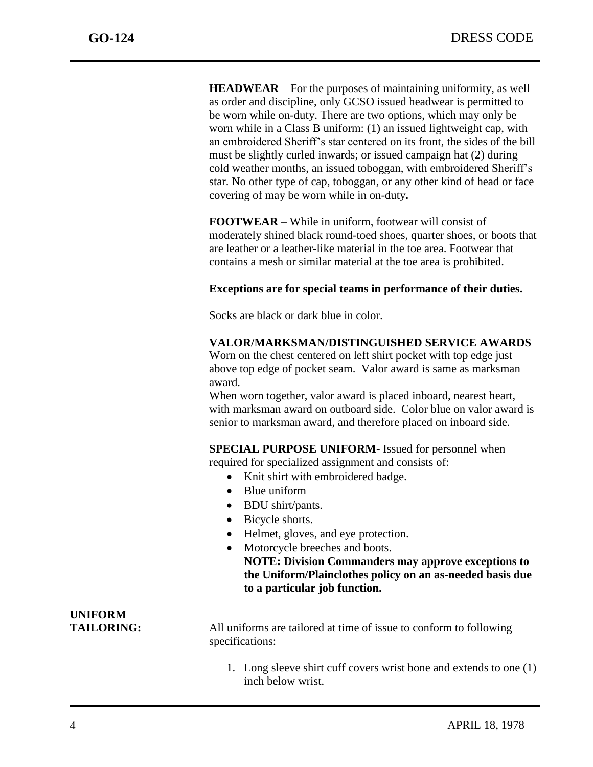**HEADWEAR** – For the purposes of maintaining uniformity, as well as order and discipline, only GCSO issued headwear is permitted to be worn while on-duty. There are two options, which may only be worn while in a Class B uniform: (1) an issued lightweight cap, with an embroidered Sheriff's star centered on its front, the sides of the bill must be slightly curled inwards; or issued campaign hat (2) during cold weather months, an issued toboggan, with embroidered Sheriff's star. No other type of cap, toboggan, or any other kind of head or face covering of may be worn while in on-duty**.** 

**FOOTWEAR** – While in uniform, footwear will consist of moderately shined black round-toed shoes, quarter shoes, or boots that are leather or a leather-like material in the toe area. Footwear that contains a mesh or similar material at the toe area is prohibited.

#### **Exceptions are for special teams in performance of their duties.**

Socks are black or dark blue in color.

#### **VALOR/MARKSMAN/DISTINGUISHED SERVICE AWARDS**

Worn on the chest centered on left shirt pocket with top edge just above top edge of pocket seam. Valor award is same as marksman award.

When worn together, valor award is placed inboard, nearest heart, with marksman award on outboard side. Color blue on valor award is senior to marksman award, and therefore placed on inboard side.

**SPECIAL PURPOSE UNIFORM-** Issued for personnel when required for specialized assignment and consists of:

- Knit shirt with embroidered badge.
- Blue uniform
- BDU shirt/pants.
- Bicycle shorts.
- Helmet, gloves, and eye protection.
- Motorcycle breeches and boots. **NOTE: Division Commanders may approve exceptions to the Uniform/Plainclothes policy on an as-needed basis due to a particular job function.**

## **UNIFORM**

**TAILORING:** All uniforms are tailored at time of issue to conform to following specifications:

> 1. Long sleeve shirt cuff covers wrist bone and extends to one (1) inch below wrist.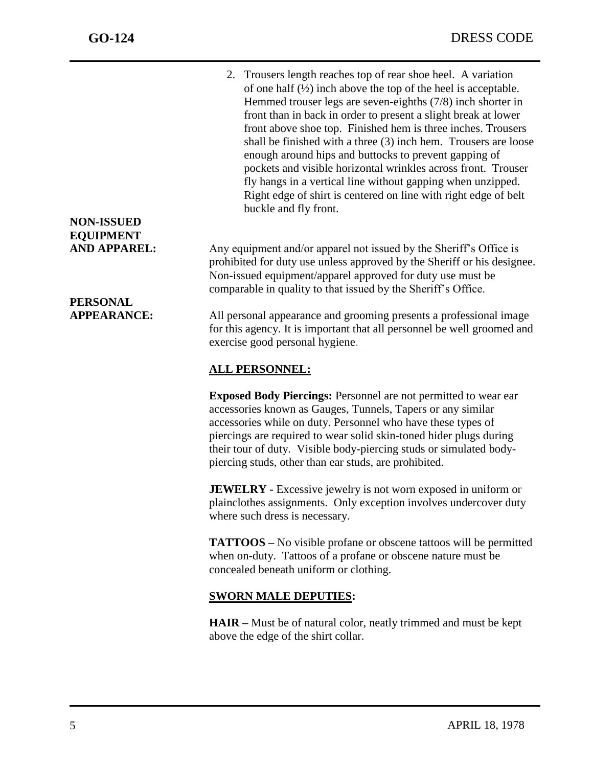2. Trousers length reaches top of rear shoe heel. A variation of one half  $(\frac{1}{2})$  inch above the top of the heel is acceptable. Hemmed trouser legs are seven-eighths (7/8) inch shorter in front than in back in order to present a slight break at lower front above shoe top. Finished hem is three inches. Trousers shall be finished with a three (3) inch hem. Trousers are loose enough around hips and buttocks to prevent gapping of pockets and visible horizontal wrinkles across front. Trouser fly hangs in a vertical line without gapping when unzipped. Right edge of shirt is centered on line with right edge of belt buckle and fly front.

AND APPAREL: Any equipment and/or apparel not issued by the Sheriff's Office is prohibited for duty use unless approved by the Sheriff or his designee. Non-issued equipment/apparel approved for duty use must be comparable in quality to that issued by the Sheriff's Office.

**APPEARANCE:** All personal appearance and grooming presents a professional image for this agency. It is important that all personnel be well groomed and exercise good personal hygiene.

### **ALL PERSONNEL:**

**Exposed Body Piercings:** Personnel are not permitted to wear ear accessories known as Gauges, Tunnels, Tapers or any similar accessories while on duty. Personnel who have these types of piercings are required to wear solid skin-toned hider plugs during their tour of duty. Visible body-piercing studs or simulated bodypiercing studs, other than ear studs, are prohibited.

**JEWELRY** - Excessive jewelry is not worn exposed in uniform or plainclothes assignments. Only exception involves undercover duty where such dress is necessary.

**TATTOOS –** No visible profane or obscene tattoos will be permitted when on-duty. Tattoos of a profane or obscene nature must be concealed beneath uniform or clothing.

### **SWORN MALE DEPUTIES:**

**HAIR –** Must be of natural color, neatly trimmed and must be kept above the edge of the shirt collar.

### **NON-ISSUED EQUIPMENT**

# **PERSONAL**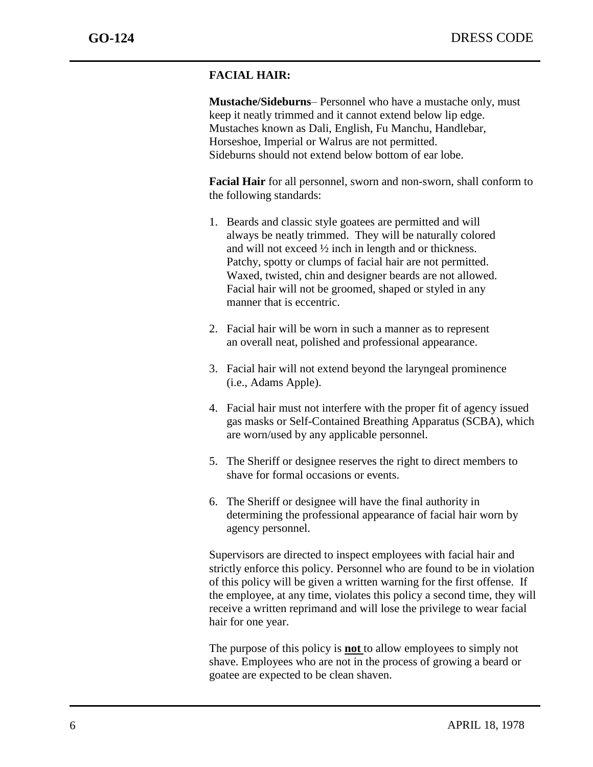### **FACIAL HAIR:**

 **Mustache/Sideburns**– Personnel who have a mustache only, must keep it neatly trimmed and it cannot extend below lip edge. Mustaches known as Dali, English, Fu Manchu, Handlebar, Horseshoe, Imperial or Walrus are not permitted. Sideburns should not extend below bottom of ear lobe.

 **Facial Hair** for all personnel, sworn and non-sworn, shall conform to the following standards:

- 1. Beards and classic style goatees are permitted and will always be neatly trimmed. They will be naturally colored and will not exceed  $\frac{1}{2}$  inch in length and or thickness. Patchy, spotty or clumps of facial hair are not permitted. Waxed, twisted, chin and designer beards are not allowed. Facial hair will not be groomed, shaped or styled in any manner that is eccentric.
- 2. Facial hair will be worn in such a manner as to represent an overall neat, polished and professional appearance.
- 3. Facial hair will not extend beyond the laryngeal prominence (i.e., Adams Apple).
- 4. Facial hair must not interfere with the proper fit of agency issued gas masks or Self-Contained Breathing Apparatus (SCBA), which are worn/used by any applicable personnel.
- 5. The Sheriff or designee reserves the right to direct members to shave for formal occasions or events.
- 6. The Sheriff or designee will have the final authority in determining the professional appearance of facial hair worn by agency personnel.

Supervisors are directed to inspect employees with facial hair and strictly enforce this policy. Personnel who are found to be in violation of this policy will be given a written warning for the first offense. If the employee, at any time, violates this policy a second time, they will receive a written reprimand and will lose the privilege to wear facial hair for one year.

The purpose of this policy is **not** to allow employees to simply not shave. Employees who are not in the process of growing a beard or goatee are expected to be clean shaven.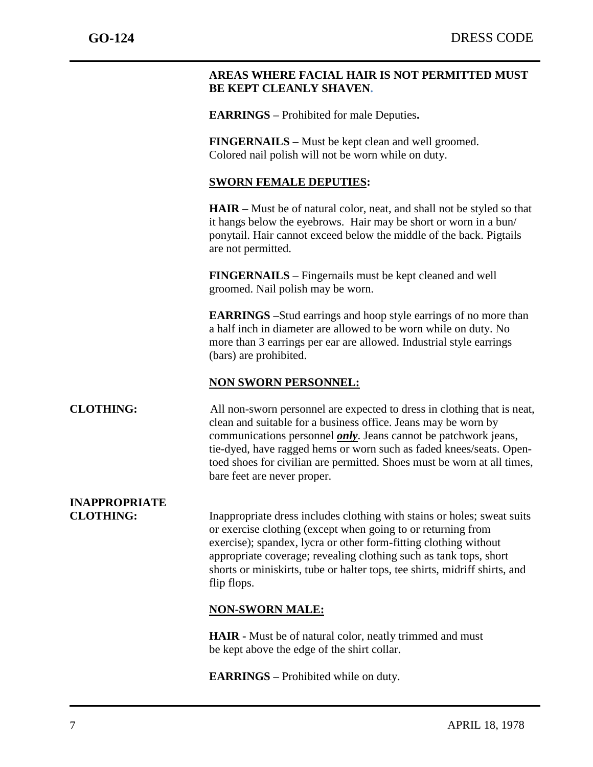### **AREAS WHERE FACIAL HAIR IS NOT PERMITTED MUST BE KEPT CLEANLY SHAVEN.**

**EARRINGS –** Prohibited for male Deputies**.** 

**FINGERNAILS –** Must be kept clean and well groomed. Colored nail polish will not be worn while on duty.

### **SWORN FEMALE DEPUTIES:**

**HAIR –** Must be of natural color, neat, and shall not be styled so that it hangs below the eyebrows. Hair may be short or worn in a bun/ ponytail. Hair cannot exceed below the middle of the back. Pigtails are not permitted.

**FINGERNAILS** – Fingernails must be kept cleaned and well groomed. Nail polish may be worn.

**EARRINGS –**Stud earrings and hoop style earrings of no more than a half inch in diameter are allowed to be worn while on duty. No more than 3 earrings per ear are allowed. Industrial style earrings (bars) are prohibited.

### **NON SWORN PERSONNEL:**

### **CLOTHING:** All non-sworn personnel are expected to dress in clothing that is neat, clean and suitable for a business office. Jeans may be worn by communications personnel *only*. Jeans cannot be patchwork jeans, tie-dyed, have ragged hems or worn such as faded knees/seats. Opentoed shoes for civilian are permitted. Shoes must be worn at all times, bare feet are never proper.

## **INAPPROPRIATE**

**CLOTHING:** Inappropriate dress includes clothing with stains or holes; sweat suits or exercise clothing (except when going to or returning from exercise); spandex, lycra or other form-fitting clothing without appropriate coverage; revealing clothing such as tank tops, short shorts or miniskirts, tube or halter tops, tee shirts, midriff shirts, and flip flops.

### **NON-SWORN MALE:**

**HAIR -** Must be of natural color, neatly trimmed and must be kept above the edge of the shirt collar.

**EARRINGS –** Prohibited while on duty.